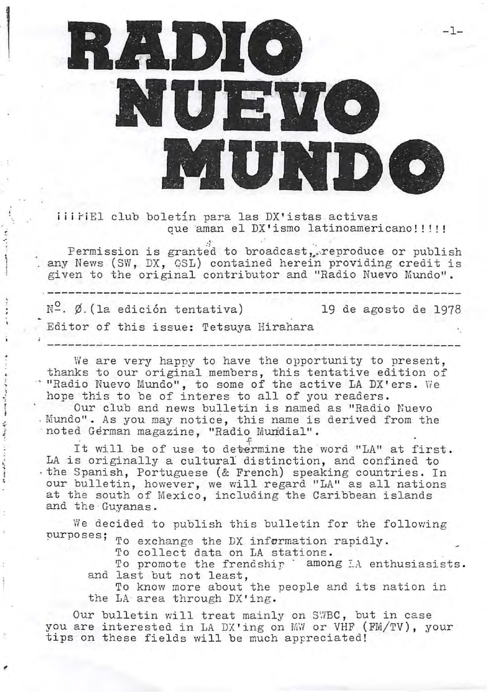

*iii FiEl club boletin para las DX'istas activas* que aman el DX'ismo latinoamericano!!!!!

Permission is granted to broadcast, reproduce or publish any News (SW, DX, QSL) contained herein providing credit is given to the original contributor and "Radio Nuevo Mundo".

 $N^{\circ}$ .  $\emptyset$ . (la edición tentativa) 19 de agosto de 1978

Editor of this issue: Tetsuya Hirahara

I i r ;.

We are very happy to have the opportunity to present, thanks to our original members, this tentative edition of . "Radio Nuevo Mundo", to some of the active LA DX'ers. We hope this to be of interes to all of you readers.

Our club and news bulletin is named as "Radio Nuevo . Mundo". As you may notice, this name is derived from the noted German magazine, "Radio Mundial".

It will be of use to determine the word "LA" at first. LA is originally a cultural distinction, and confined to · the Spanish, Portuguese (& French) speaking countries. In our bulletin, however, we will regard "LA" as all nations at the south of Mexico, including the Caribbean islands and the · Guyanas.

We decided to publish this bulletin for the following purposes; To exchange the DX information rapidly.

To collect data on LA stations.

and last but not least, To collect data on LA stations.<br>To promote the frendship <sup>\*</sup> among LA enthusiasists.

the LA area through DX'ing. To know more about the people and its nation in

Our bulletin will treat mainly on SWBC, but in case you are interested in LA DX'ing on MW or VHF (FM/TV), your tips on these fields will be much appreciated!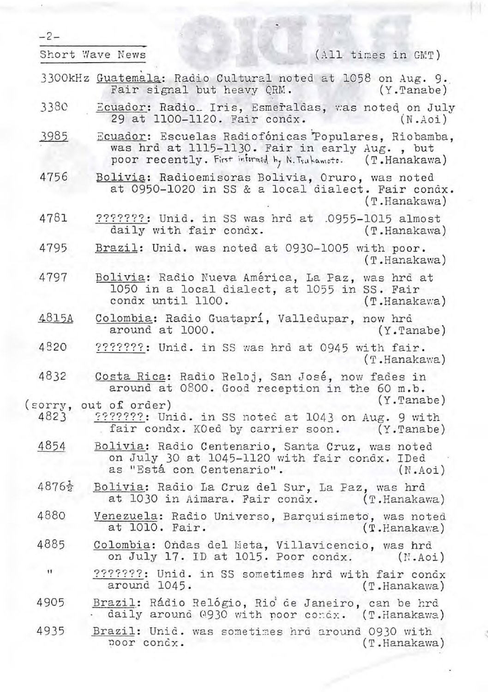| $-2-$             |                                                                                                                                                                      |
|-------------------|----------------------------------------------------------------------------------------------------------------------------------------------------------------------|
|                   | Short Wave News<br>(All times in GMT)                                                                                                                                |
|                   | 3300kHz Guatemala: Radio Cultural noted at 1058 on Aug. 9.<br>Fair signal but heavy QRM.<br>$(Y.\text{Tanabe})$                                                      |
| 3380              | Ecuador: Radio_ Iris, Esmeraldas, was noted on July<br>29 at 1100-1120. Fair condx.<br>(N.Aoi)                                                                       |
| 3985              | Ecuador: Escuelas Radiofónicas Populares, Riobamba,<br>was hrd at 1115-1130. Fair in early Aug., but<br>poor recently. First informed by N. Trukamote. (T. Hanakawa) |
| 4756              | Bolivia: Radioemisoras Bolivia, Oruro, was noted<br>at 0950-1020 in SS & a local dialect. Fair condx.<br>(T.Hanakawa)                                                |
| 4781              | ???????: Unid. in SS was hrd at .0955-1015 almost<br>daily with fair condx.<br>(T.Hanakawa)                                                                          |
| 4795              | Brazil: Unid. was noted at 0930-1005 with poor.<br>(T.Hanakawa)                                                                                                      |
| 4797              | Bolivia: Radio Nueva América, La Paz, was hrd at<br>1050 in a local dialect, at 1055 in SS. Fair<br>condx until 1100.<br>$(T.\text{Hanakawa})$                       |
| 4815A             | Colombia: Radio Guataprí, Valledupar, now hrd<br>around at 1000.<br>$(Y.\text{Tanabe})$                                                                              |
| 4820              | ???????: Unid. in SS was hrd at 0945 with fair.<br>(T.Hanakawa)                                                                                                      |
| 4832              | Costa Rica: Radio Reloj, San José, now fades in<br>around at 0800. Good reception in the 60 m.b.<br>$(Y.\texttt{Tanabe})$                                            |
| (sorry,<br>4823   | out of order)<br>9999999: Unid. in SS noted at 1043 on Aug. 9 with<br>fair condx. KOed by carrier soon. (Y.Tanabe)                                                   |
| 4854              | Bolivia: Radio Centenario, Santa Cruz, was noted<br>on July 30 at 1045-1120 with fair condx. IDed<br>as "Está con Centenario".<br>(N.Aoi)                            |
| $4876\frac{1}{2}$ | Bolivia: Radio La Cruz del Sur, La Paz, was hrd<br>at 1030 in Aimara. Fair condx.<br>$(T.\text{Hanakawa})$                                                           |
| 4880              | Venezuela: Radio Universo, Barquisimeto, was noted<br>at 1010. Fair.<br>$(T.\text{Hanakawa})$                                                                        |
| 4885              | Colombia: Ondas del Meta, Villavicencio, was hrd<br>on July 17. ID at 1015. Poor condx.<br>(N.Aoi)                                                                   |
| $\mathbf{11}$     | ???????: Unid. in SS sometimes hrd with fair condx<br>around 1045.<br>(T.Hanakawa)                                                                                   |
| 4905              | Brazil: Rádio Relógio, Rio de Janeiro, can be hrd<br>- daily around 0930 with noor condx. (T.Hanakawa)                                                               |
| 4935              | Brazil: Unid. was sometimes hrd around 0930 with<br>poor condx.<br>(T.Hanakawa)                                                                                      |

M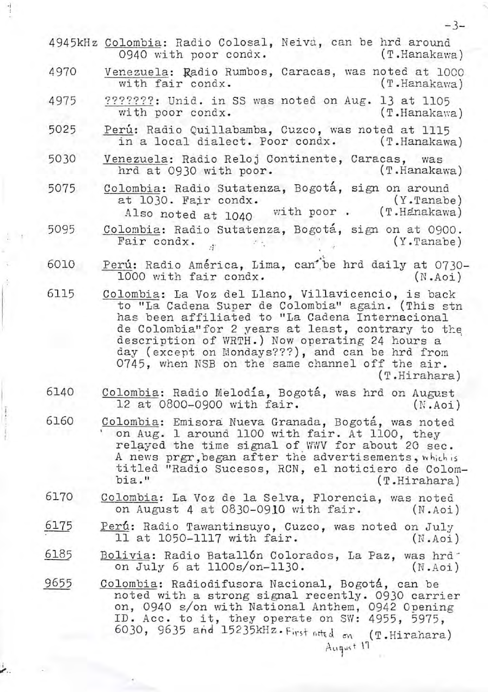|      | 4945kHz Colombia: Radio Colosal, Neiva, can be hrd around<br>(T.Hanakawa)<br>0940 with poor condx.                                                                                                                                                                                                                                                                                       |
|------|------------------------------------------------------------------------------------------------------------------------------------------------------------------------------------------------------------------------------------------------------------------------------------------------------------------------------------------------------------------------------------------|
| 4970 | Venezuela: Radio Rumbos, Caracas, was noted at 1000<br>with fair condx.<br>(T.Hanakawa)                                                                                                                                                                                                                                                                                                  |
| 4975 | ???????: Unid. in SS was noted on Aug. 13 at 1105<br>with poor condx.<br>(T.Hanakawa)                                                                                                                                                                                                                                                                                                    |
| 5025 | Perú: Radio Quillabamba, Cuzco, was noted at 1115<br>in a local dialect. Poor condx. (T.Hanakawa)                                                                                                                                                                                                                                                                                        |
| 5030 | Venezuela: Radio Reloj Continente, Caracas, was<br>(T.Hanakawa)<br>hrd at 0930 with poor.                                                                                                                                                                                                                                                                                                |
| 5075 | Colombia: Radio Sutatenza, Bogotá, sign on around<br>at 1030. Fair condx.<br>(Y.Tanabe) (Y.Tanabe)<br>Also noted at 1040 with poor . (T.Hanakawa)                                                                                                                                                                                                                                        |
| 5095 | Colombia: Radio Sutatenza, Bogotá, sign on at 0900.<br>Fair condx.<br>$(Y.\text{Table})$<br><b>PACKAGE AND</b>                                                                                                                                                                                                                                                                           |
| 6010 | Perú: Radio América, Lima, can be hrd daily at 0730-<br>1000 with fair condx.<br>(N.Aoi)                                                                                                                                                                                                                                                                                                 |
| 6115 | Colombia: La Voz del Llano, Villavicencio, is back<br>to "La Cadena Super de Colombia" again. (This stn<br>has been affiliated to "La Cadena Internacional<br>de Colombia" for 2 years at least, contrary to the<br>description of WRTH.) Now operating 24 hours a<br>day (except on Mondays???), and can be hrd from<br>0745, when NSB on the same channel off the air.<br>(T.Hirahara) |
| 6140 | Colombia: Radio Melodia, Bogotá, was hrd on August<br>12 at 0800-0900 with fair.<br>(N.Aoi)                                                                                                                                                                                                                                                                                              |
| 6160 | Colombia: Emisora Nueva Granada, Bogotá, was noted<br>on Aug. 1 around 1100 with fair. At 1100, they<br>relayed the time signal of WWV for about 20 sec.<br>A news prgr, began after the advertisements, which is<br>titled "Radio Sucesos, RCN, el noticiero de Colom-<br>bia."<br>(T.Hirahara)                                                                                         |
| 6170 | Colombia: La Voz de la Selva, Florencia, was noted<br>on August 4 at 0830-0910 with fair.<br>(N.Aoi)                                                                                                                                                                                                                                                                                     |
| 6175 | Perú: Radio Tawantinsuyo, Cuzco, was noted on July<br>11 at 1050-1117 with fair.<br>(N.Aoi)                                                                                                                                                                                                                                                                                              |
| 6185 | Bolivia: Radio Batallón Colorados, La Paz, was hrd<br>on July 6 at 1100s/on-1130.<br>(N.Aoi)                                                                                                                                                                                                                                                                                             |
| 9655 | Colombia: Radiodifusora Nacional, Bogotá, can be<br>noted with a strong signal recently. 0930 carrier<br>on, 0940 s/on with National Anthem, 0942 Opening<br>ID. Acc. to it, they operate on SW: 4955, 5975,<br>6030, 9635 and 15235kHz. First neted on (T.Hirahara)<br>August 17                                                                                                        |
|      |                                                                                                                                                                                                                                                                                                                                                                                          |

·I

 $\mathbb{E}^{\mathbb{P}^n}$ 

 $\epsilon$  .

-3-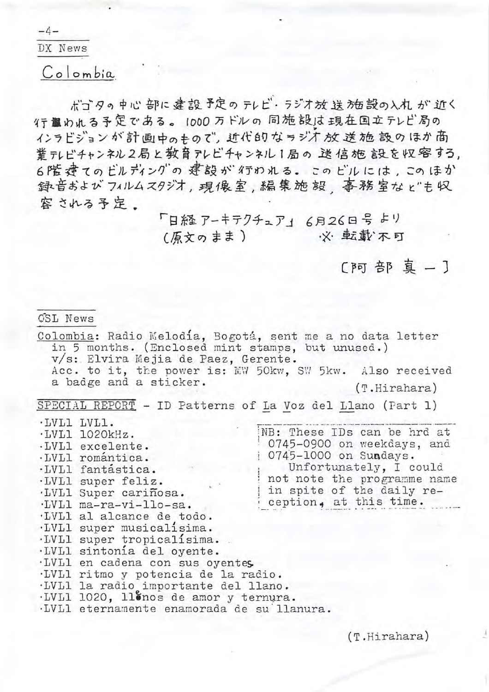$-4-$ 

DX News

Colombia

ボゴタの中心 部に 建設 予定の テレビ・ラジオ放送 施設の入れ が 近く 行靠めれる予定である。 1000 万ドルの 同施 設は 現在国立テレビ局の インラビジョンが計画中のもので、近代的なラジオ放送施設のほか商 業テレビチャンネル2局と教育アレビチャンネル1局の送信施設を収容する。 6階 達てのビルディングの 建設が 行のれる。 このビルには , このほか 録音および フィルムスタジオ ,現像室 , 編集施 設 事務室な ビも収 容される予定。

> 「日経アーキテクチュア」 6月26日号 より ·※ 転載不可 (原文のまま)

> > [阿部真-]

CSL News

Colombia: Radio Melodía, Bogotá, sent me a no data letter in 5 months. (Enclosed mint stamps, but unused.) v/s: Elvira Mejia de Paez, Gerente. Acc. to it, the power is: MW 50kw, SW 5kw. Also received<br>a badge and a sticker.  $(T.Hirahara)$ 

SPECIAL REPORT - ID Patterns of La Voz del Llano (Part 1)

·LVL1 LVL1. NB: These IDs can be hrd at ·LVL1 1020kHz. 0745-0900 on weekdays, and .LVL1 excelente. 0745-1000 on Sundays. ·LVL1 romántica. Unfortunately, I could ·LVL1 fantastica. not note the programme name .LVL1 super feliz. in spite of the daily re-·LVL1 Super cariñosa. ception, at this time. ·LVL1 ma-ra-vi-llo-sa. ·LVL1 al alcance de todo. .LVL1 super musicalisima. ·LVL1 super tropicalisima. ·LVL1 sintonia del oyente. ·LVL1 en cadena con sus oyentes. ·LVL1 ritmo y potencia de la radio. ·LVL1 la radio importante del llano. ·LVL1 1020, llonos de amor y ternura.

·LVL1 eternamente enamorada de su'llanura.

 $(T.Hirahara)$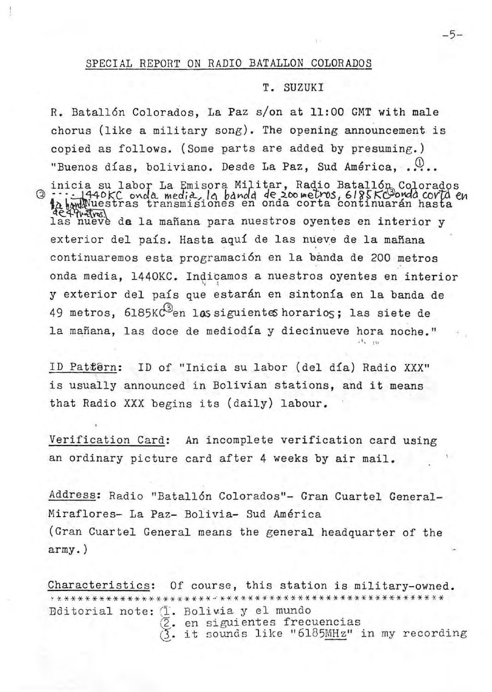## T. SUZUKI

R. Batallón Colorados, La Paz s/on at 11:00 GMT with male chorus (like a military song). The opening announcement is copied as follows. (Some parts are added by presuming.) "Buenos días, boliviano. Desde La Paz, Sud América..... inicia su labor La Emisora Militar, Radio Batallón Colorados<br>11.1440KC onda media, la banda de 200 metros, 6185KC onda corta en<br>12.bodWuestras transmisiones en onda corta continuarán hasta<br>12. nueve de la mañana para nuest exterior del país. Hasta aquí de las nueve de la mañana continuaremos esta programación en la banda de 200 metros onda media, 1440KC. Indicamos a nuestros oyentes en interior y exterior del país que estarán en sintonía en la banda de 49 metros, 6185KC<sup>3</sup>en las siguientes horarios; las siete de la mañana, las doce de mediodía y diecinueve hora noche."

ID Pattêrn: ID of "Inicia su labor (del día) Radio XXX" is usually announced in Bolivian stations, and it means that Radio XXX begins its (daily) labour.

Verification Card: An incomplete verification card using an ordinary picture card after 4 weeks by air mail.

Address: Radio "Batallón Colorados"- Gran Cuartel General-Miraflores- La Paz- Bolivia- Sud América (Gran Cuartel General means the general headquarter of the  $army.$ )

Characteristics: Of course, this station is military-owned. Bditorial note: (I. Bolivia y el mundo 2. en siguientes frecuencias 3. it sounds like "6185MHz" in my recording

 $-5-$